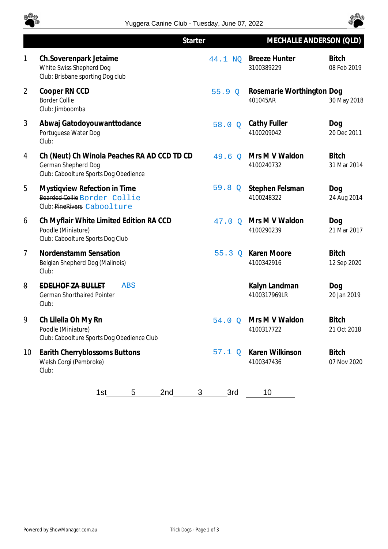



|                | <b>Starter</b>                                                                                              |                 | MECHALLE ANDERSON (QLD)               |                             |
|----------------|-------------------------------------------------------------------------------------------------------------|-----------------|---------------------------------------|-----------------------------|
| 1              | Ch.Soverenpark Jetaime<br>White Swiss Shepherd Dog<br>Club: Brisbane sporting Dog club                      | 44.1 NQ         | <b>Breeze Hunter</b><br>3100389229    | <b>Bitch</b><br>08 Feb 2019 |
| $\overline{2}$ | Cooper RN CCD<br><b>Border Collie</b><br>Club: Jimboomba                                                    | 55.9Q           | Rosemarie Worthington Dog<br>401045AR | 30 May 2018                 |
| 3              | Abwaj Gatodoyouwanttodance<br>Portuguese Water Dog<br>Club:                                                 | 58.0 Q          | Cathy Fuller<br>4100209042            | Dog<br>20 Dec 2011          |
| 4              | Ch (Neut) Ch Winola Peaches RA AD CCD TD CD<br>German Shepherd Dog<br>Club: Caboolture Sports Dog Obedience | 49.6<br>$\circ$ | Mrs M V Waldon<br>4100240732          | <b>Bitch</b><br>31 Mar 2014 |
| 5              | Mystiqview Refection in Time<br>Bearded Collie Border Collie<br>Club: PineRivers Caboolture                 | 59.8<br>Q       | Stephen Felsman<br>4100248322         | Dog<br>24 Aug 2014          |
| 6              | Ch Myflair White Limited Edition RA CCD<br>Poodle (Miniature)<br>Club: Caboolture Sports Dog Club           | $47.0\Omega$    | Mrs M V Waldon<br>4100290239          | Dog<br>21 Mar 2017          |
| $\overline{7}$ | Nordenstamm Sensation<br>Belgian Shepherd Dog (Malinois)<br>Club:                                           | 55.3Q           | Karen Moore<br>4100342916             | <b>Bitch</b><br>12 Sep 2020 |
| 8              | <b>EDELHOF ZA BULLET</b><br><b>ABS</b><br><b>German Shorthaired Pointer</b><br>Club:                        |                 | Kalyn Landman<br>4100317969LR         | Dog<br>20 Jan 2019          |
| 9              | Ch Lilella Oh My Rn<br>Poodle (Miniature)<br>Club: Caboolture Sports Dog Obedience Club                     | 54.0<br>$\circ$ | Mrs M V Waldon<br>4100317722          | <b>Bitch</b><br>21 Oct 2018 |
| 10             | Earith Cherryblossoms Buttons<br>Welsh Corgi (Pembroke)<br>Club:                                            | 57.1Q           | Karen Wilkinson<br>4100347436         | <b>Bitch</b><br>07 Nov 2020 |
|                | 2nd<br>1st<br>5                                                                                             | 3rd<br>3        | 10                                    |                             |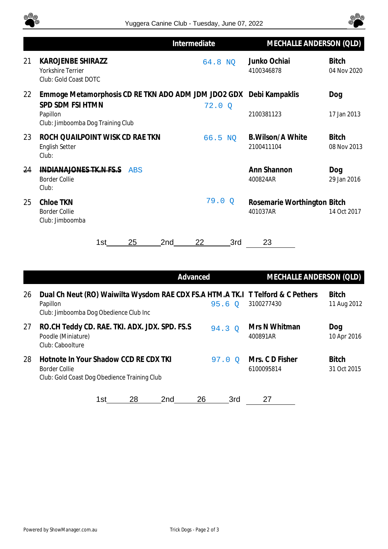



|    |                                                                                                                                         | Intermediate    | MECHALLE ANDERSON (QLD)                 |                             |
|----|-----------------------------------------------------------------------------------------------------------------------------------------|-----------------|-----------------------------------------|-----------------------------|
| 21 | <b>KAROJENBE SHIRAZZ</b><br>Yorkshire Terrier<br>Club: Gold Coast DOTC                                                                  | 64.8 NO         | Junko Ochiai<br>4100346878              | <b>Bitch</b><br>04 Nov 2020 |
| 22 | Emmoge Metamorphosis CD RE TKN ADO ADM JDM JDO2 GDX Debi Kampaklis<br>SPD SDM FSI HTMN<br>Papillon<br>Club: Jimboomba Dog Training Club | 72.0Q           | 2100381123                              | Dog<br>17 Jan 2013          |
| 23 | ROCH QUAILPOINT WISK CD RAE TKN<br><b>English Setter</b><br>Club:                                                                       | 66.5 NO         | <b>B.Wilson/A White</b><br>2100411104   | <b>Bitch</b><br>08 Nov 2013 |
| 24 | INDIANAJONES TK.N FS.S.<br><b>ABS</b><br><b>Border Collie</b><br>Club:                                                                  |                 | Ann Shannon<br>400824AR                 | Dog<br>29 Jan 2016          |
| 25 | Chloe TKN<br><b>Border Collie</b><br>Club: Jimboomba                                                                                    | 79.0<br>$\circ$ | Rosemarie Worthington Bitch<br>401037AR | 14 Oct 2017                 |
|    | 25<br>2 <sub>nd</sub><br>1st                                                                                                            | 22<br>3rd       | 23                                      |                             |

|    | Advanced                                                                                                                              |          | MECHALLE ANDERSON (QLD)      |                             |
|----|---------------------------------------------------------------------------------------------------------------------------------------|----------|------------------------------|-----------------------------|
| 26 | Dual Ch Neut (RO) Waiwilta Wysdom RAE CDX FS.A HTM.A TK.I T Telford & C Pethers<br>Papillon<br>Club: Jimboomba Dog Obedience Club Inc | 95.6O    | 3100277430                   | <b>Bitch</b><br>11 Aug 2012 |
| 27 | RO.CH Teddy CD. RAE. TKI. ADX. JDX. SPD. FS.S<br>Poodle (Miniature)<br>Club: Caboolture                                               | 94.3 0   | Mrs N Whitman<br>400891AR    | Dog<br>10 Apr 2016          |
| 28 | Hotnote In Your Shadow CCD RE CDX TKI<br>Border Collie<br>Club: Gold Coast Dog Obedience Training Club                                | $97.0$ O | Mrs. CD Fisher<br>6100095814 | <b>Bitch</b><br>31 Oct 2015 |
|    | 28<br>26<br>1st<br>2nd                                                                                                                | 3rd      | 27                           |                             |